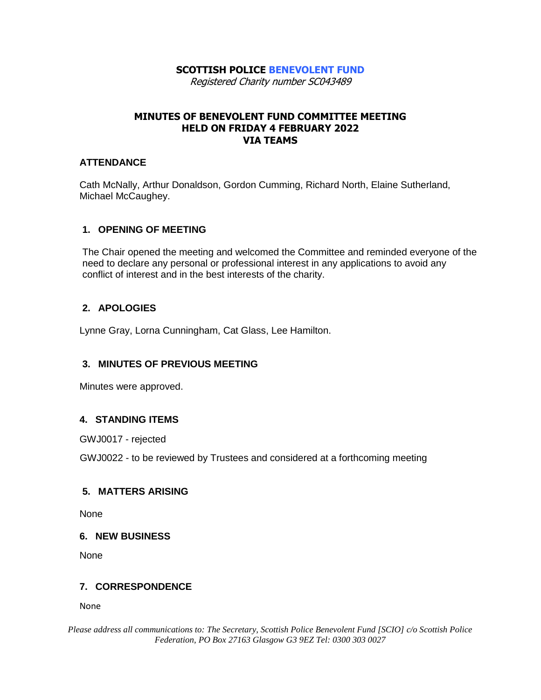### **SCOTTISH POLICE BENEVOLENT FUND**

Registered Charity number SC043489

# **MINUTES OF BENEVOLENT FUND COMMITTEE MEETING HELD ON FRIDAY 4 FEBRUARY 2022 VIA TEAMS**

#### **ATTENDANCE**

Cath McNally, Arthur Donaldson, Gordon Cumming, Richard North, Elaine Sutherland, Michael McCaughey.

# **1. OPENING OF MEETING**

The Chair opened the meeting and welcomed the Committee and reminded everyone of the need to declare any personal or professional interest in any applications to avoid any conflict of interest and in the best interests of the charity.

# **2. APOLOGIES**

Lynne Gray, Lorna Cunningham, Cat Glass, Lee Hamilton.

# **3. MINUTES OF PREVIOUS MEETING**

Minutes were approved.

# **4. STANDING ITEMS**

GWJ0017 - rejected

GWJ0022 - to be reviewed by Trustees and considered at a forthcoming meeting

#### **5. MATTERS ARISING**

None

#### **6. NEW BUSINESS**

None

#### **7. CORRESPONDENCE**

None

*Please address all communications to: The Secretary, Scottish Police Benevolent Fund [SCIO] c/o Scottish Police Federation, PO Box 27163 Glasgow G3 9EZ Tel: 0300 303 0027*